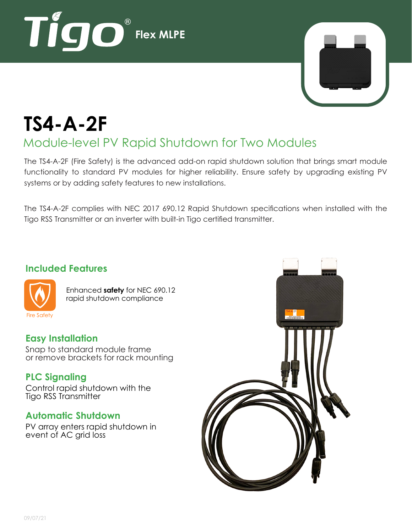



# **TS4-A-2F**

## Module-level PV Rapid Shutdown for Two Modules

The TS4-A-2F (Fire Safety) is the advanced add-on rapid shutdown solution that brings smart module functionality to standard PV modules for higher reliability. Ensure safety by upgrading existing PV systems or by adding safety features to new installations.

The TS4-A-2F complies with NEC 2017 690.12 Rapid Shutdown specifications when installed with the Tigo RSS Transmitter or an inverter with built-in Tigo certified transmitter.

#### **Included Features**



Enhanced **safety** for NEC 690.12 rapid shutdown compliance

#### **Easy Installation**

Snap to standard module frame or remove brackets for rack mounting

#### **PLC Signaling**

Control rapid shutdown with the Tigo RSS Transmitter

#### **Automatic Shutdown**

PV array enters rapid shutdown in event of AC grid loss